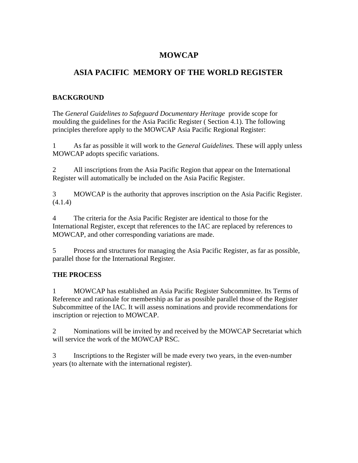# **MOWCAP**

# **ASIA PACIFIC MEMORY OF THE WORLD REGISTER**

### **BACKGROUND**

The *General Guidelines to Safeguard Documentary Heritage* provide scope for moulding the guidelines for the Asia Pacific Register ( Section 4.1). The following principles therefore apply to the MOWCAP Asia Pacific Regional Register:

1 As far as possible it will work to the *General Guidelines.* These will apply unless MOWCAP adopts specific variations.

2 All inscriptions from the Asia Pacific Region that appear on the International Register will automatically be included on the Asia Pacific Register.

3 MOWCAP is the authority that approves inscription on the Asia Pacific Register. (4.1.4)

4 The criteria for the Asia Pacific Register are identical to those for the International Register, except that references to the IAC are replaced by references to MOWCAP, and other corresponding variations are made.

5 Process and structures for managing the Asia Pacific Register, as far as possible, parallel those for the International Register.

# **THE PROCESS**

1 MOWCAP has established an Asia Pacific Register Subcommittee. Its Terms of Reference and rationale for membership as far as possible parallel those of the Register Subcommittee of the IAC. It will assess nominations and provide recommendations for inscription or rejection to MOWCAP.

2 Nominations will be invited by and received by the MOWCAP Secretariat which will service the work of the MOWCAP RSC.

3 Inscriptions to the Register will be made every two years, in the even-number years (to alternate with the international register).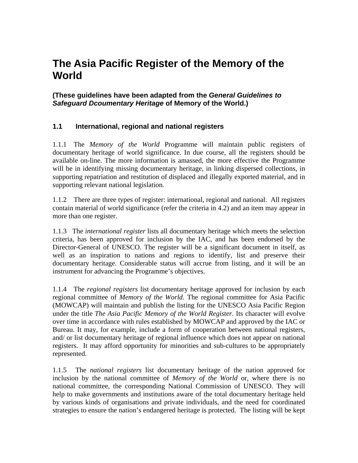# **The Asia Pacific Register of the Memory of the World**

**(These guidelines have been adapted from the** *General Guidelines to Safeguard Dcoumentary Heritage* **of Memory of the World.)** 

# **1.1 International, regional and national registers**

1.1.1 The *Memory of the World* Programme will maintain public registers of documentary heritage of world significance. In due course, all the registers should be available on-line. The more information is amassed, the more effective the Programme will be in identifying missing documentary heritage, in linking dispersed collections, in supporting repatriation and restitution of displaced and illegally exported material, and in supporting relevant national legislation.

1.1.2 There are three types of register: international, regional and national. All registers contain material of world significance (refer the criteria in 4.2) and an item may appear in more than one register.

1.1.3 The *international register* lists all documentary heritage which meets the selection criteria, has been approved for inclusion by the IAC, and has been endorsed by the Director-General of UNESCO. The register will be a significant document in itself, as well as an inspiration to nations and regions to identify, list and preserve their documentary heritage. Considerable status will accrue from listing, and it will be an instrument for advancing the Programme's objectives.

1.1.4 The *regional registers* list documentary heritage approved for inclusion by each regional committee of *Memory of the World*. The regional committee for Asia Pacific (MOWCAP) will maintain and publish the listing for the UNESCO Asia Pacific Region under the title *The Asia Pacific Memory of the World Register*. Its character will evolve over time in accordance with rules established by MOWCAP and approved by the IAC or Bureau. It may, for example, include a form of cooperation between national registers, and/ or list documentary heritage of regional influence which does not appear on national registers. It may afford opportunity for minorities and sub-cultures to be appropriately represented.

1.1.5 The *national registers* list documentary heritage of the nation approved for inclusion by the national committee of *Memory of the World* or, where there is no national committee, the corresponding National Commission of UNESCO. They will help to make governments and institutions aware of the total documentary heritage held by various kinds of organisations and private individuals, and the need for coordinated strategies to ensure the nation's endangered heritage is protected. The listing will be kept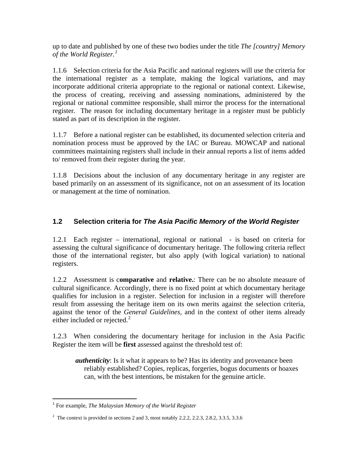up to date and published by one of these two bodies under the title *The [country] Memory of the World Register.[1](#page-2-0)*

1.1.6 Selection criteria for the Asia Pacific and national registers will use the criteria for the international register as a template, making the logical variations, and may incorporate additional criteria appropriate to the regional or national context. Likewise, the process of creating, receiving and assessing nominations, administered by the regional or national committee responsible, shall mirror the process for the international register*.* The reason for including documentary heritage in a register must be publicly stated as part of its description in the register.

1.1.7 Before a national register can be established, its documented selection criteria and nomination process must be approved by the IAC or Bureau. MOWCAP and national committees maintaining registers shall include in their annual reports a list of items added to/ removed from their register during the year.

1.1.8 Decisions about the inclusion of any documentary heritage in any register are based primarily on an assessment of its significance, not on an assessment of its location or management at the time of nomination.

# **1.2 Selection criteria for** *The Asia Pacific Memory of the World Register*

1.2.1 Each register – international, regional or national - is based on criteria for assessing the cultural significance of documentary heritage. The following criteria reflect those of the international register*,* but also apply (with logical variation) to national registers.

1.2.2 Assessment is c**omparative** and **relative.**: There can be no absolute measure of cultural significance. Accordingly, there is no fixed point at which documentary heritage qualifies for inclusion in a register. Selection for inclusion in a register will therefore result from assessing the heritage item on its own merits against the selection criteria, against the tenor of the *General Guidelines,* and in the context of other items already either included or rejected. $<sup>2</sup>$  $<sup>2</sup>$  $<sup>2</sup>$ </sup>

1.2.3 When considering the documentary heritage for inclusion in the Asia Pacific Register the item will be **first** assessed against the threshold test of:

*authenticity*: Is it what it appears to be? Has its identity and provenance been reliably established? Copies, replicas, forgeries, bogus documents or hoaxes can, with the best intentions, be mistaken for the genuine article.

<span id="page-2-0"></span> $\overline{a}$ <sup>1</sup> For example, *The Malaysian Memory of the World Register*

<span id="page-2-1"></span><sup>&</sup>lt;sup>2</sup> The context is provided in sections 2 and 3, most notably 2.2.2, 2.2.3, 2.8.2, 3.3.5, 3.3.6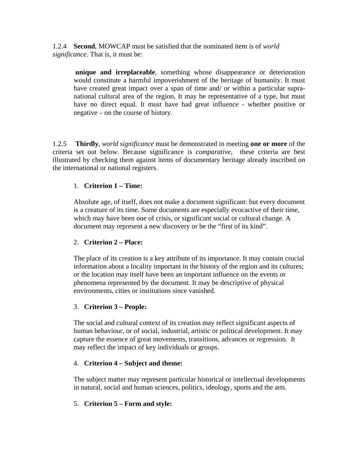1.2.4 **Second**, MOWCAP must be satisfied that the nominated item is of *world significance*. That is, it must be:

 **unique and irreplaceable**, something whose disappearance or deterioration would constitute a harmful impoverishment of the heritage of humanity. It must have created great impact over a span of time and/ or within a particular supranational cultural area of the region, It may be representative of a type, but must have no direct equal. It must have had great influence - whether positive or negative – on the course of history.

1.2.5 **Thirdly**, *world significance* must be demonstrated in meeting **one or more** of the criteria set out below. Because significance is *comparative*, these criteria are best illustrated by checking them against items of documentary heritage already inscribed on the international or national registers.

#### 1. **Criterion 1 – Time:**

Absolute age, of itself, does not make a document significant: but every document is a creature of its time. Some documents are especially evocactive of their time, which may have been one of crisis, or significant social or cultural change. A document may represent a new discovery or be the "first of its kind".

#### 2. **Criterion 2 – Place:**

The place of its creation is a key attribute of its importance. It may contain crucial information about a locality important in the history of the region and its cultures; or the location may itself have been an important influence on the events or phenomena represented by the document. It may be descriptive of physical environments, cities or institutions since vanished.

#### 3. **Criterion 3 – People:**

The social and cultural context of its creation may reflect significant aspects of human behaviour, or of social, industrial, artistic or political development. It may capture the essence of great movements, transitions, advances or regression. It may reflect the impact of key individuals or groups.

#### 4. **Criterion 4 – Subject and theme:**

The subject matter may represent particular historical or intellectual developments in natural, social and human sciences, politics, ideology, sports and the arts.

#### 5. **Criterion 5 – Form and style:**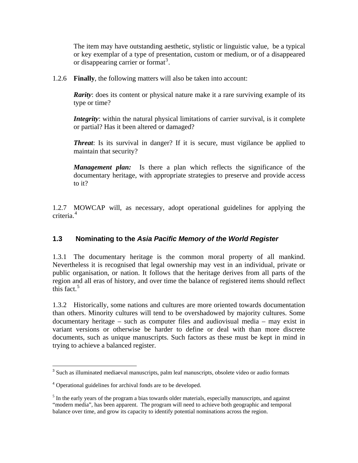The item may have outstanding aesthetic, stylistic or linguistic value, be a typical or key exemplar of a type of presentation, custom or medium, or of a disappeared or disappearing carrier or format<sup>[3](#page-4-0)</sup>.

1.2.6 **Finally**, the following matters will also be taken into account:

*Rarity*: does its content or physical nature make it a rare surviving example of its type or time?

*Integrity*: within the natural physical limitations of carrier survival, is it complete or partial? Has it been altered or damaged?

*Threat*: Is its survival in danger? If it is secure, must vigilance be applied to maintain that security?

*Management plan:* Is there a plan which reflects the significance of the documentary heritage, with appropriate strategies to preserve and provide access to it?

1.2.7 MOWCAP will, as necessary, adopt operational guidelines for applying the criteria.<sup>[4](#page-4-1)</sup>

# **1.3 Nominating to the** *Asia Pacific Memory of the World Register*

1.3.1 The documentary heritage is the common moral property of all mankind. Nevertheless it is recognised that legal ownership may vest in an individual, private or public organisation, or nation. It follows that the heritage derives from all parts of the region and all eras of history, and over time the balance of registered items should reflect this fact.<sup>[5](#page-4-2)</sup>

1.3.2 Historically, some nations and cultures are more oriented towards documentation than others. Minority cultures will tend to be overshadowed by majority cultures. Some documentary heritage – such as computer files and audiovisual media – may exist in variant versions or otherwise be harder to define or deal with than more discrete documents, such as unique manuscripts. Such factors as these must be kept in mind in trying to achieve a balanced register.

<span id="page-4-0"></span> $\overline{a}$ <sup>3</sup> Such as illuminated mediaeval manuscripts, palm leaf manuscripts, obsolete video or audio formats

<span id="page-4-1"></span><sup>4</sup> Operational guidelines for archival fonds are to be developed.

<span id="page-4-2"></span><sup>&</sup>lt;sup>5</sup> In the early years of the program a bias towards older materials, especially manuscripts, and against "modern media", has been apparent. The program will need to achieve both geographic and temporal balance over time, and grow its capacity to identify potential nominations across the region.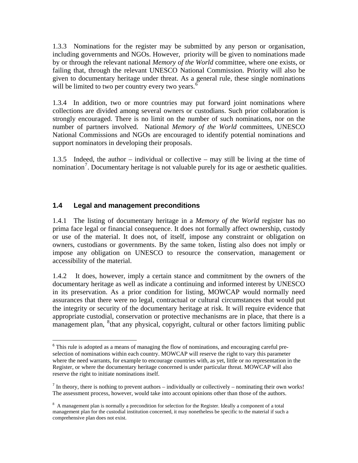1.3.3 Nominations for the register may be submitted by any person or organisation, including governments and NGOs. However, priority will be given to nominations made by or through the relevant national *Memory of the World* committee, where one exists, or failing that, through the relevant UNESCO National Commission. Priority will also be given to documentary heritage under threat. As a general rule, these single nominations will be limited to two per country every two years. $<sup>6</sup>$  $<sup>6</sup>$  $<sup>6</sup>$ </sup>

1.3.4 In addition, two or more countries may put forward joint nominations where collections are divided among several owners or custodians. Such prior collaboration is strongly encouraged. There is no limit on the number of such nominations, nor on the number of partners involved. National *Memory of the World* committees, UNESCO National Commissions and NGOs are encouraged to identify potential nominations and support nominators in developing their proposals.

1.3.5 Indeed, the author – individual or collective – may still be living at the time of nomination<sup>[7](#page-5-1)</sup>. Documentary heritage is not valuable purely for its age or aesthetic qualities.

#### **1.4 Legal and management preconditions**

 $\overline{a}$ 

1.4.1 The listing of documentary heritage in a *Memory of the World* register has no prima face legal or financial consequence. It does not formally affect ownership, custody or use of the material. It does not, of itself, impose any constraint or obligation on owners, custodians or governments. By the same token, listing also does not imply or impose any obligation on UNESCO to resource the conservation, management or accessibility of the material.

1.4.2 It does, however, imply a certain stance and commitment by the owners of the documentary heritage as well as indicate a continuing and informed interest by UNESCO in its preservation. As a prior condition for listing, MOWCAP would normally need assurances that there were no legal, contractual or cultural circumstances that would put the integrity or security of the documentary heritage at risk. It will require evidence that appropriate custodial, conservation or protective mechanisms are in place, that there is a management plan, <sup>[8](#page-5-2)</sup> that any physical, copyright, cultural or other factors limiting public

<span id="page-5-0"></span><sup>&</sup>lt;sup>6</sup> This rule is adopted as a means of managing the flow of nominations, and encouraging careful preselection of nominations within each country. MOWCAP will reserve the right to vary this parameter where the need warrants, for example to encourage countries with, as yet, little or no representation in the Register, or where the documentary heritage concerned is under particular threat. MOWCAP will also reserve the right to initiate nominations itself.

<span id="page-5-1"></span> $<sup>7</sup>$  In theory, there is nothing to prevent authors – individually or collectively – nominating their own works!</sup> The assessment process, however, would take into account opinions other than those of the authors.

<span id="page-5-2"></span><sup>&</sup>lt;sup>8</sup> A management plan is normally a precondition for selection for the Register. Ideally a component of a total management plan for the custodial institution concerned, it may nonetheless be specific to the material if such a comprehensive plan does not exist.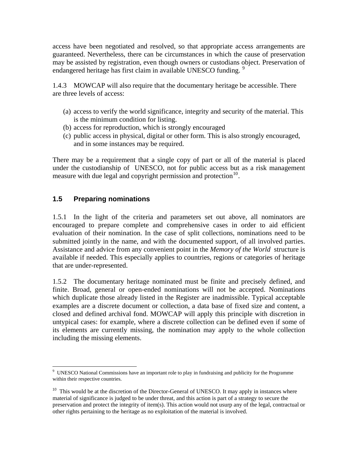access have been negotiated and resolved, so that appropriate access arrangements are guaranteed. Nevertheless, there can be circumstances in which the cause of preservation may be assisted by registration, even though owners or custodians object. Preservation of endangered heritage has first claim in available UNESCO funding.

1.4.3 MOWCAP will also require that the documentary heritage be accessible. There are three levels of access:

- (a) access to verify the world significance, integrity and security of the material. This is the minimum condition for listing.
- (b) access for reproduction, which is strongly encouraged
- (c) public access in physical, digital or other form. This is also strongly encouraged, and in some instances may be required.

There may be a requirement that a single copy of part or all of the material is placed under the custodianship of UNESCO, not for public access but as a risk management measure with due legal and copyright permission and protection<sup>[10](#page-6-1)</sup>.

# **1.5 Preparing nominations**

1.5.1 In the light of the criteria and parameters set out above, all nominators are encouraged to prepare complete and comprehensive cases in order to aid efficient evaluation of their nomination. In the case of split collections, nominations need to be submitted jointly in the name, and with the documented support, of all involved parties. Assistance and advice from any convenient point in the *Memory of the World* structure is available if needed. This especially applies to countries, regions or categories of heritage that are under-represented.

1.5.2 The documentary heritage nominated must be finite and precisely defined, and finite. Broad, general or open-ended nominations will not be accepted. Nominations which duplicate those already listed in the Register are inadmissible. Typical acceptable examples are a discrete document or collection, a data base of fixed size and content, a closed and defined archival fond. MOWCAP will apply this principle with discretion in untypical cases: for example, where a discrete collection can be defined even if some of its elements are currently missing, the nomination may apply to the whole collection including the missing elements.

<span id="page-6-0"></span> 9 UNESCO National Commissions have an important role to play in fundraising and publicity for the Programme within their respective countries.

<span id="page-6-1"></span><sup>&</sup>lt;sup>10</sup> This would be at the discretion of the Director-General of UNESCO. It may apply in instances where material of significance is judged to be under threat, and this action is part of a strategy to secure the preservation and protect the integrity of item(s). This action would not usurp any of the legal, contractual or other rights pertaining to the heritage as no exploitation of the material is involved.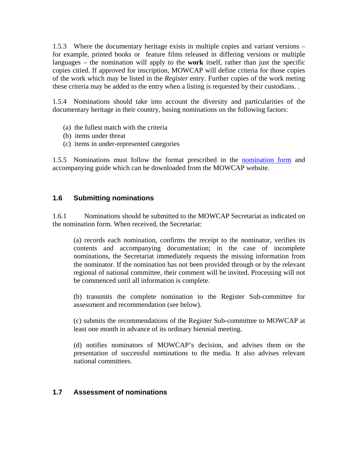1.5.3 Where the documentary heritage exists in multiple copies and variant versions – for example, printed books or feature films released in differing versions or multiple languages – the nomination will apply to the **work** itself, rather than just the specific copies citied. If approved for inscription, MOWCAP will define criteria for those copies of the work which may be listed in the *Register* entry. Further copies of the work meting these criteria may be added to the entry when a listing is requested by their custodians. .

1.5.4 Nominations should take into account the diversity and particularities of the documentary heritage in their country, basing nominations on the following factors:

- (a) the fullest match with the criteria
- (b) items under threat
- (c) items in under-represented categories

1.5.5 Nominations must follow the format prescribed in the [nomination form](http://www.unesco.mowcap.org/doc/MOWCAP_nomination_form.doc) and accompanying guide which can be downloaded from the MOWCAP website.

#### **1.6 Submitting nominations**

1.6.1 Nominations should be submitted to the MOWCAP Secretariat as indicated on the nomination form. When received, the Secretariat:

(a) records each nomination, confirms the receipt to the nominator, verifies its contents and accompanying documentation; in the case of incomplete nominations, the Secretariat immediately requests the missing information from the nominator. If the nomination has not been provided through or by the relevant regional of national committee, their comment will be invited. Processing will not be commenced until all information is complete.

(b) transmits the complete nomination to the Register Sub-committee for assessment and recommendation (see below).

(c) submits the recommendations of the Register Sub-committee to MOWCAP at least one month in advance of its ordinary biennial meeting.

(d) notifies nominators of MOWCAP's decision, and advises them on the presentation of successful nominations to the media. It also advises relevant national committees.

#### **1.7 Assessment of nominations**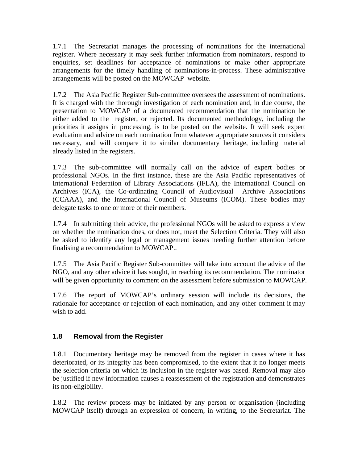1.7.1 The Secretariat manages the processing of nominations for the international register. Where necessary it may seek further information from nominators, respond to enquiries, set deadlines for acceptance of nominations or make other appropriate arrangements for the timely handling of nominations-in-process. These administrative arrangements will be posted on the MOWCAP website.

1.7.2 The Asia Pacific Register Sub-committee oversees the assessment of nominations. It is charged with the thorough investigation of each nomination and, in due course, the presentation to MOWCAP of a documented recommendation that the nomination be either added to the register, or rejected. Its documented methodology, including the priorities it assigns in processing, is to be posted on the website. It will seek expert evaluation and advice on each nomination from whatever appropriate sources it considers necessary, and will compare it to similar documentary heritage, including material already listed in the registers.

1.7.3 The sub-committee will normally call on the advice of expert bodies or professional NGOs. In the first instance, these are the Asia Pacific representatives of International Federation of Library Associations (IFLA), the International Council on Archives (ICA), the Co-ordinating Council of Audiovisual Archive Associations (CCAAA), and the International Council of Museums (ICOM). These bodies may delegate tasks to one or more of their members.

1.7.4 In submitting their advice, the professional NGOs will be asked to express a view on whether the nomination does, or does not, meet the Selection Criteria. They will also be asked to identify any legal or management issues needing further attention before finalising a recommendation to MOWCAP..

1.7.5 The Asia Pacific Register Sub-committee will take into account the advice of the NGO, and any other advice it has sought, in reaching its recommendation. The nominator will be given opportunity to comment on the assessment before submission to MOWCAP.

1.7.6 The report of MOWCAP's ordinary session will include its decisions, the rationale for acceptance or rejection of each nomination, and any other comment it may wish to add.

# **1.8 Removal from the Register**

1.8.1 Documentary heritage may be removed from the register in cases where it has deteriorated, or its integrity has been compromised, to the extent that it no longer meets the selection criteria on which its inclusion in the register was based. Removal may also be justified if new information causes a reassessment of the registration and demonstrates its non-eligibility.

1.8.2 The review process may be initiated by any person or organisation (including MOWCAP itself) through an expression of concern, in writing, to the Secretariat. The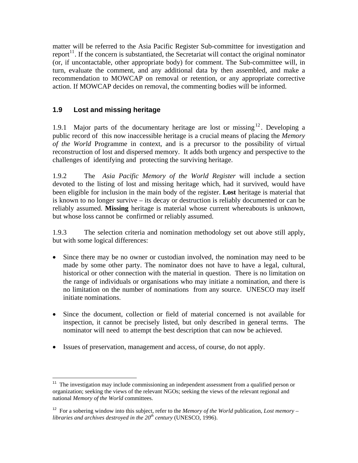matter will be referred to the Asia Pacific Register Sub-committee for investigation and report<sup>[11](#page-9-0)</sup>. If the concern is substantiated, the Secretariat will contact the original nominator (or, if uncontactable, other appropriate body) for comment. The Sub-committee will, in turn, evaluate the comment, and any additional data by then assembled, and make a recommendation to MOWCAP on removal or retention, or any appropriate corrective action. If MOWCAP decides on removal, the commenting bodies will be informed.

# **1.9 Lost and missing heritage**

 $\overline{a}$ 

1.9.1 Major parts of the documentary heritage are lost or missing  $12$ . Developing a public record of this now inaccessible heritage is a crucial means of placing the *Memory of the World* Programme in context, and is a precursor to the possibility of virtual reconstruction of lost and dispersed memory. It adds both urgency and perspective to the challenges of identifying and protecting the surviving heritage.

1.9.2 The *Asia Pacific Memory of the World Register* will include a section devoted to the listing of lost and missing heritage which, had it survived, would have been eligible for inclusion in the main body of the register. **Lost** heritage is material that is known to no longer survive – its decay or destruction is reliably documented or can be reliably assumed. **Missing** heritage is material whose current whereabouts is unknown, but whose loss cannot be confirmed or reliably assumed.

1.9.3 The selection criteria and nomination methodology set out above still apply, but with some logical differences:

- Since there may be no owner or custodian involved, the nomination may need to be made by some other party. The nominator does not have to have a legal, cultural, historical or other connection with the material in question. There is no limitation on the range of individuals or organisations who may initiate a nomination, and there is no limitation on the number of nominations from any source. UNESCO may itself initiate nominations.
- Since the document, collection or field of material concerned is not available for inspection, it cannot be precisely listed, but only described in general terms. The nominator will need to attempt the best description that can now be achieved.
- Issues of preservation, management and access, of course, do not apply.

<span id="page-9-0"></span> $11$  The investigation may include commissioning an independent assessment from a qualified person or organization; seeking the views of the relevant NGOs; seeking the views of the relevant regional and national *Memory of the World* committees.

<span id="page-9-1"></span><sup>&</sup>lt;sup>12</sup> For a sobering window into this subject, refer to the *Memory of the World* publication, *Lost memory* – *libraries and archives destroyed in the 20th century* (UNESCO, 1996).